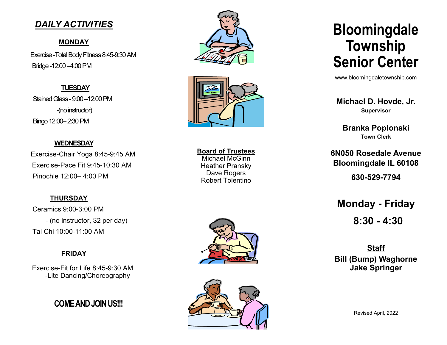## **DAILY ACTIVITIES**

#### **MONDAY**

Exercise - Total Body Fitness 8:45-9:30 AM Bridge -12:00 -4:00 PM

**TUESDAY** Stained Glass - 9:00 - 12:00 PM -(no instructor) Bingo 12:00-2:30 PM

#### **WEDNESDAY**

Exercise-Chair Yoga 8:45-9:45 AM Exercise-Pace Fit 9:45-10:30 AM Pinochle 12:00-4:00 PM

### **THURSDAY**

Ceramics 9:00-3:00 PM - (no instructor, \$2 per day) Tai Chi 10:00-11:00 AM

### **FRIDAY**

Exercise-Fit for Life 8:45-9:30 AM -Lite Dancing/Choreography

**COME AND JOIN US!!!** 





**Board of Trustees** Michael McGinn **Heather Pransky Dave Rogers Robert Tolentino** 





# **Bloomingdale** Township **Senior Center**

www.bloomingdaletownship.com

Michael D. Hovde, Jr. **Supervisor** 

**Branka Poplonski Town Clerk** 

6N050 Rosedale Avenue **Bloomingdale IL 60108** 630-529-7794

**Monday - Friday**  $8:30 - 4:30$ 

**Staff Bill (Bump) Waghorne Jake Springer**